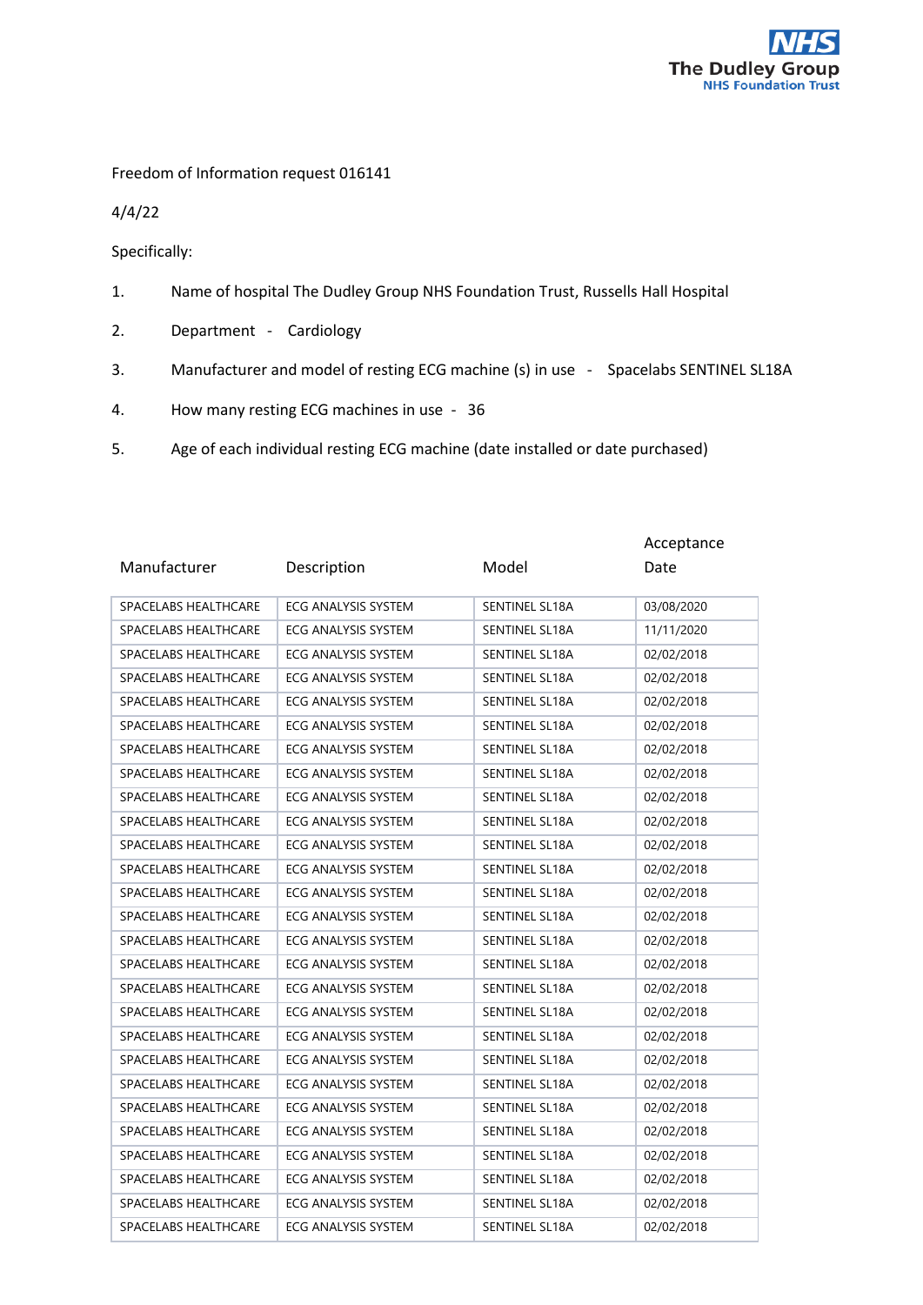

Freedom of Information request 016141

4/4/22

Specifically:

- 1. Name of hospital The Dudley Group NHS Foundation Trust, Russells Hall Hospital
- 2. Department Cardiology
- 3. Manufacturer and model of resting ECG machine (s) in use Spacelabs SENTINEL SL18A
- 4. How many resting ECG machines in use 36
- 5. Age of each individual resting ECG machine (date installed or date purchased)

|                      |                            |                       | Acceptance |
|----------------------|----------------------------|-----------------------|------------|
| Manufacturer         | Description                | Model                 | Date       |
| SPACELABS HEALTHCARE | <b>ECG ANALYSIS SYSTEM</b> | <b>SENTINEL SL18A</b> | 03/08/2020 |
| SPACELABS HEALTHCARE | <b>ECG ANALYSIS SYSTEM</b> | <b>SENTINEL SL18A</b> | 11/11/2020 |
| SPACELABS HEALTHCARE | <b>ECG ANALYSIS SYSTEM</b> | <b>SENTINEL SL18A</b> | 02/02/2018 |
| SPACELABS HEALTHCARE | <b>ECG ANALYSIS SYSTEM</b> | <b>SENTINEL SL18A</b> | 02/02/2018 |
| SPACELABS HEALTHCARE | <b>ECG ANALYSIS SYSTEM</b> | <b>SENTINEL SL18A</b> | 02/02/2018 |
| SPACELABS HEALTHCARE | <b>ECG ANALYSIS SYSTEM</b> | <b>SENTINEL SL18A</b> | 02/02/2018 |
| SPACELABS HEALTHCARE | <b>ECG ANALYSIS SYSTEM</b> | SENTINEL SL18A        | 02/02/2018 |
| SPACELABS HEALTHCARE | <b>ECG ANALYSIS SYSTEM</b> | SENTINEL SL18A        | 02/02/2018 |
| SPACELABS HEALTHCARE | ECG ANALYSIS SYSTEM        | SENTINEL SL18A        | 02/02/2018 |
| SPACELABS HEALTHCARE | <b>ECG ANALYSIS SYSTEM</b> | <b>SENTINEL SL18A</b> | 02/02/2018 |
| SPACELABS HEALTHCARE | <b>ECG ANALYSIS SYSTEM</b> | SENTINEL SL18A        | 02/02/2018 |
| SPACELABS HEALTHCARE | <b>ECG ANALYSIS SYSTEM</b> | <b>SENTINEL SL18A</b> | 02/02/2018 |
| SPACELABS HEALTHCARE | ECG ANALYSIS SYSTEM        | SENTINEL SL18A        | 02/02/2018 |
| SPACELABS HEALTHCARE | <b>ECG ANALYSIS SYSTEM</b> | <b>SENTINEL SL18A</b> | 02/02/2018 |
| SPACELABS HEALTHCARE | <b>ECG ANALYSIS SYSTEM</b> | <b>SENTINEL SL18A</b> | 02/02/2018 |
| SPACELABS HEALTHCARE | <b>ECG ANALYSIS SYSTEM</b> | <b>SENTINEL SL18A</b> | 02/02/2018 |
| SPACELABS HEALTHCARE | ECG ANALYSIS SYSTEM        | SENTINEL SL18A        | 02/02/2018 |
| SPACELABS HEALTHCARE | ECG ANALYSIS SYSTEM        | SENTINEL SL18A        | 02/02/2018 |
| SPACELABS HEALTHCARE | <b>ECG ANALYSIS SYSTEM</b> | <b>SENTINEL SL18A</b> | 02/02/2018 |
| SPACELABS HEALTHCARE | ECG ANALYSIS SYSTEM        | SENTINEL SL18A        | 02/02/2018 |
| SPACELABS HEALTHCARE | <b>ECG ANALYSIS SYSTEM</b> | <b>SENTINEL SL18A</b> | 02/02/2018 |
| SPACELABS HEALTHCARE | <b>ECG ANALYSIS SYSTEM</b> | SENTINEL SL18A        | 02/02/2018 |
| SPACELABS HEALTHCARE | <b>ECG ANALYSIS SYSTEM</b> | SENTINEL SL18A        | 02/02/2018 |
| SPACELABS HEALTHCARE | ECG ANALYSIS SYSTEM        | SENTINEL SL18A        | 02/02/2018 |
| SPACELABS HEALTHCARE | <b>ECG ANALYSIS SYSTEM</b> | <b>SENTINEL SL18A</b> | 02/02/2018 |
| SPACELABS HEALTHCARE | ECG ANALYSIS SYSTEM        | SENTINEL SL18A        | 02/02/2018 |
| SPACELABS HEALTHCARE | ECG ANALYSIS SYSTEM        | <b>SENTINEL SL18A</b> | 02/02/2018 |